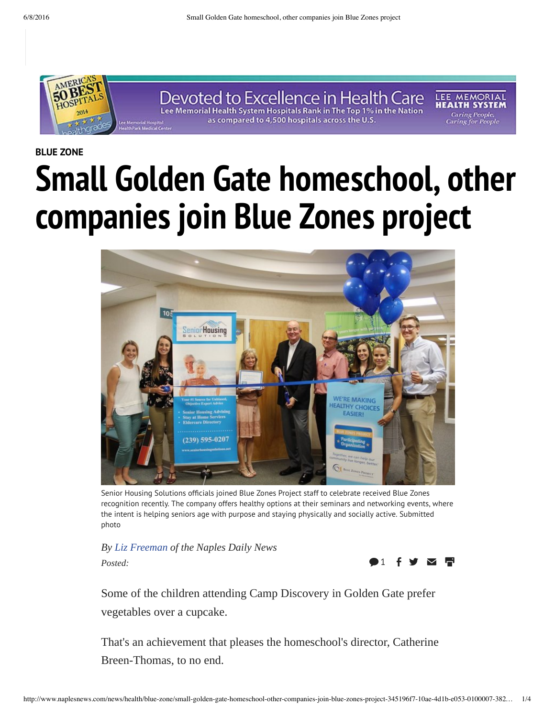

**BLUE ZONE**

# **Small Golden Gate homeschool, other companies join Blue Zones project**



Senior Housing Solutions officials joined Blue Zones Project staff to celebrate received Blue Zones recognition recently. The company offers healthy options at their seminars and networking events, where the intent is helping seniors age with purpose and staying physically and socially active. Submitted photo

*By Liz Freeman of the Naples Daily News Posted:*



Some of the children attending Camp Discovery in Golden Gate prefer vegetables over a cupcake.

That's an achievement that pleases the homeschool's director, Catherine Breen-Thomas, to no end.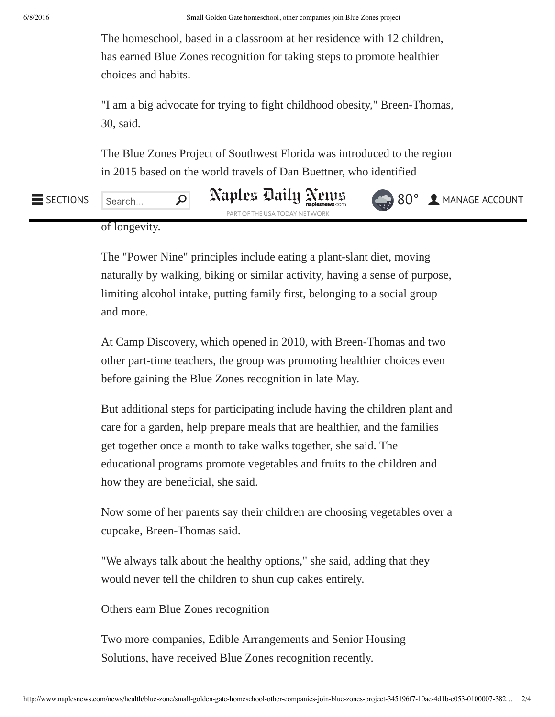The homeschool, based in a classroom at her residence with 12 children, has earned Blue Zones recognition for taking steps to promote healthier choices and habits.

"I am a big advocate for trying to fight childhood obesity," Breen-Thomas, 30, said.

The Blue Zones Project of Southwest Florida was introduced to the region in 2015 based on the world travels of Dan Buettner, who identified

### $\overline{\mathcal{Q}}$  Naples Daily Neurs PART OF THE USA TODAY NETWORK of longevity. SECTIONS  $|$  Search...  $|$   $|$   $\mathcal{A}$   $\mathcal{A}$   $\mathcal{B}$   $\mathcal{B}$   $\mathcal{B}$   $\mathcal{B}$   $\mathcal{B}$   $\mathcal{B}$   $\mathcal{B}$   $\mathcal{B}$   $\mathcal{B}$   $\mathcal{B}$   $\mathcal{B}$   $\mathcal{B}$   $\mathcal{B}$   $\mathcal{B}$   $\mathcal{B}$   $\mathcal{B}$   $\mathcal{B}$   $\mathcal{B}$   $\mathcal{B}$

The "Power Nine" principles include eating a plant-slant diet, moving naturally by walking, biking or similar activity, having a sense of purpose, limiting alcohol intake, putting family first, belonging to a social group and more.

At Camp Discovery, which opened in 2010, with Breen-Thomas and two other part-time teachers, the group was promoting healthier choices even before gaining the Blue Zones recognition in late May.

But additional steps for participating include having the children plant and care for a garden, help prepare meals that are healthier, and the families get together once a month to take walks together, she said. The educational programs promote vegetables and fruits to the children and how they are beneficial, she said.

Now some of her parents say their children are choosing vegetables over a cupcake, Breen-Thomas said.

"We always talk about the healthy options," she said, adding that they would never tell the children to shun cup cakes entirely.

Others earn Blue Zones recognition

Two more companies, Edible Arrangements and Senior Housing Solutions, have received Blue Zones recognition recently.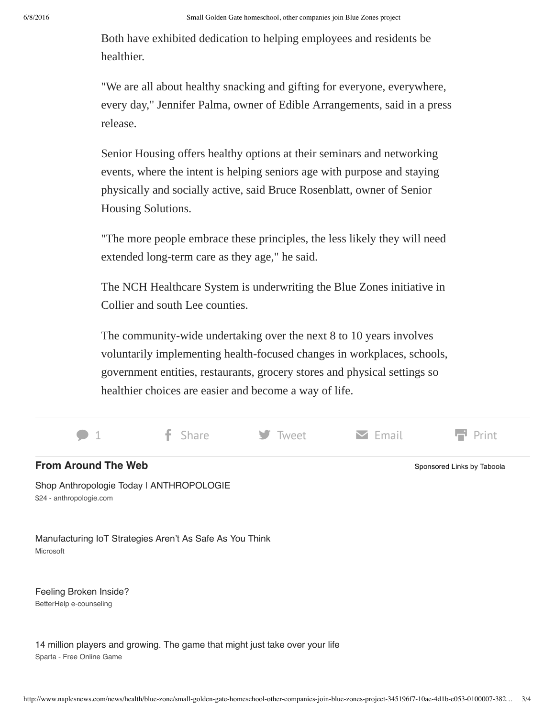Both have exhibited dedication to helping employees and residents be healthier.

"We are all about healthy snacking and gifting for everyone, everywhere, every day," Jennifer Palma, owner of Edible Arrangements, said in a press release.

Senior Housing offers healthy options at their seminars and networking events, where the intent is helping seniors age with purpose and staying physically and socially active, said Bruce Rosenblatt, owner of Senior Housing Solutions.

"The more people embrace these principles, the less likely they will need extended long-term care as they age," he said.

The NCH Healthcare System is underwriting the Blue Zones initiative in Collier and south Lee counties.

The community-wide undertaking over the next 8 to 10 years involves voluntarily implementing health-focused changes in workplaces, schools, government entities, restaurants, grocery stores and physical settings so healthier choices are easier and become a way of life.